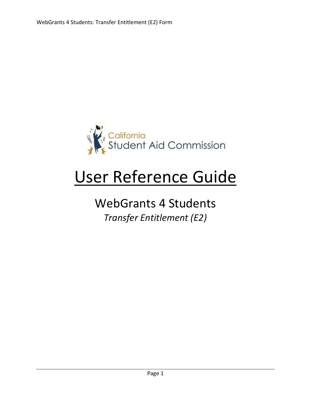

# User Reference Guide

# WebGrants 4 Students *Transfer Entitlement (E2)*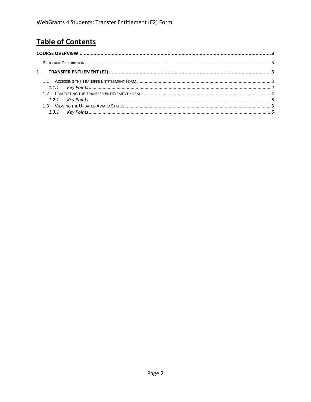# **Table of Contents**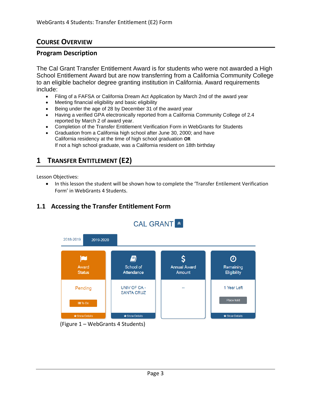## <span id="page-2-0"></span>**COURSE OVERVIEW**

#### <span id="page-2-1"></span>**Program Description**

The Cal Grant Transfer Entitlement Award is for students who were not awarded a High School Entitlement Award but are now transferring from a California Community College to an eligible bachelor degree granting institution in California. Award requirements include:

- Filing of a FAFSA or California Dream Act Application by March 2nd of the award year
- Meeting financial eligibility and basic eligibility
- Being under the age of 28 by December 31 of the award year
- Having a verified GPA electronically reported from a California Community College of 2.4 reported by March 2 of award year.
- Completion of the Transfer Entitlement Verification Form in WebGrants for Students
- Graduation from a California high school after June 30, 2000; and have California residency at the time of high school graduation **OR** If not a high school graduate, was a California resident on 18th birthday

# **1 TRANSFER ENTITLEMENT (E2)**

Lesson Objectives:

• In this lesson the student will be shown how to complete the 'Transfer Entilement Verification Form' in WebGrants 4 Students.

### **1.1 Accessing the Transfer Entitlement Form**



#### (Figure 1 – WebGrants 4 Students)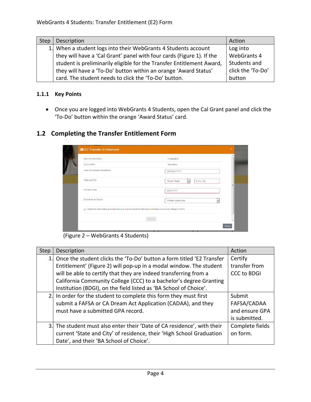| <b>Step</b> | Description                                                           | Action             |
|-------------|-----------------------------------------------------------------------|--------------------|
|             | 1. When a student logs into their WebGrants 4 Students account        | Log into           |
|             | they will have a 'Cal Grant' panel with four cards (Figure 1). If the | <b>WebGrants 4</b> |
|             | student is preliminarily eligible for the Transfer Entitlement Award, | Students and       |
|             | they will have a 'To-Do' button within an orange 'Award Status'       | click the 'To-Do'  |
|             | card. The student needs to click the 'To-Do' button.                  | button             |

#### <span id="page-3-0"></span>**1.1.1 Key Points**

• Once you are logged into WebGrants 4 Students, open the Cal Grant panel and click the 'To-Do' button within the orange 'Award Status' card.

### **1.2 Completing the Transfer Entitlement Form**

| FILE FAFSA/CADAA                                                                                                | Completed                               |                          |
|-----------------------------------------------------------------------------------------------------------------|-----------------------------------------|--------------------------|
| Submit GPA                                                                                                      | Submitted                               |                          |
| Date of California Residence                                                                                    | MM/DD/YYYY                              |                          |
| State and City                                                                                                  | Enter city<br><b>Select State</b><br>۰ı |                          |
| <b>HS Grad Date</b>                                                                                             | <b>MM/YYYYY</b>                         | €                        |
| <b>BA School of Choice</b>                                                                                      | Please select one<br>٠                  |                          |
| o I certify the information provided above is correct and that I attended California community college in 2019. |                                         |                          |
| Submit                                                                                                          |                                         | $\overline{\phantom{a}}$ |

(Figure 2 – WebGrants 4 Students)

| Step | Description                                                              | Action             |
|------|--------------------------------------------------------------------------|--------------------|
|      | 1. Once the student clicks the 'To-Do' button a form titled 'E2 Transfer | Certify            |
|      | Entitlement' (Figure 2) will pop-up in a modal window. The student       | transfer from      |
|      | will be able to certify that they are indeed transferring from a         | <b>CCC to BDGI</b> |
|      | California Community College (CCC) to a bachelor's degree Granting       |                    |
|      | Institution (BDGI), on the field listed as 'BA School of Choice'.        |                    |
|      | 2. In order for the student to complete this form they must first        | Submit             |
|      | submit a FAFSA or CA Dream Act Application (CADAA), and they             | FAFSA/CADAA        |
|      | must have a submitted GPA record.                                        | and ensure GPA     |
|      |                                                                          | is submitted.      |
|      | 3. The student must also enter their 'Date of CA residence', with their  | Complete fields    |
|      | current 'State and City' of residence, their 'High School Graduation     | on form.           |
|      | Date', and their 'BA School of Choice'.                                  |                    |